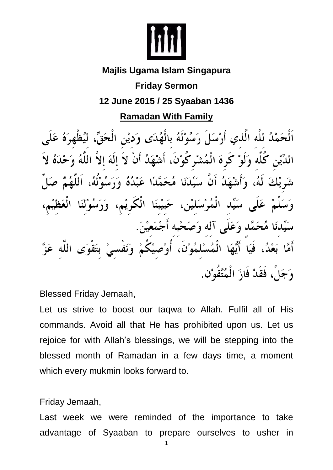

## **Majlis Ugama Islam Singapura**

## **Friday Sermon**

## **12 June 2015 / 25 Syaaban 1436**

**Ramadan With Family**

اَلْحَمْدُ للَّه الَّذي أَرْسَلَ رَسُوْلَهُ بِالْهُدَى وَدِيْنِ الْحَقِّ، ليُظْهِرَهُ عَلَى الدِّيْنِ كُلِّه وَلَوْ كَرِهَ الْمُشْرِكُوْنَ، أَشْهَدُ أَنْ لاَ إِلَهَ إِلاَّ اللَّهُ وَحْدَهُ لاَ شَرِيْكَ لَهُ، وَأَشْهَدُ أَنَّ سَيِّدَنَا مُحَمَّدًا عَبْدُهُ وَرَسُوْلُهُ، اَللَّهُمَّ صَلِّ عَلَى سَيِّد الْمُرْسَلَيْنِ، حَبِيْبَنَا الْكُرِيْمِ، وَرَسُوْلَنَا الْعَظَيْمِ، سَيِّدنَا مُحَمَّد وَعَلَى آله وَصَحْبه أَجْمَعيْنَ. أَمَّا بَعْدُ، فَيَا أَيُّهَا الْمُسْلمُوْنَ، أُوْصِيْكُمْ وَنَفْسىْ بتَقْوَى اللَّه عَزَّ وَجَلَّ، فَقَدْ فَازَ الْمُتَّقُوْن.

Blessed Friday Jemaah,

Let us strive to boost our taqwa to Allah. Fulfil all of His commands. Avoid all that He has prohibited upon us. Let us rejoice for with Allah's blessings, we will be stepping into the blessed month of Ramadan in a few days time, a moment which every mukmin looks forward to.

Friday Jemaah,

Last week we were reminded of the importance to take advantage of Syaaban to prepare ourselves to usher in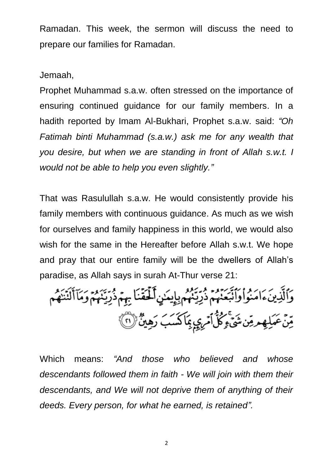Ramadan. This week, the sermon will discuss the need to prepare our families for Ramadan.

Jemaah,

Prophet Muhammad s.a.w. often stressed on the importance of ensuring continued guidance for our family members. In a hadith reported by Imam Al-Bukhari, Prophet s.a.w. said: *"Oh Fatimah binti Muhammad (s.a.w.) ask me for any wealth that you desire, but when we are standing in front of Allah s.w.t. I would not be able to help you even slightly."*

That was Rasulullah s.a.w. He would consistently provide his family members with continuous guidance. As much as we wish for ourselves and family happiness in this world, we would also wish for the same in the Hereafter before Allah s.w.t. We hope and pray that our entire family will be the dwellers of Allah's paradise, as Allah says in surah At-Thur verse 21:

وَٱلَّذِينَءَامَنُواْوَٱبْبَعَنْهُمْ ذُرِّيَّتُهُمْ بِإِيكُنِ أَلْحَقَّنَا بِهِمْ ذُرِّيَّتُهُمْ وَمَآأَلَهُ مِّنَ عَمَلِهِمْ مِّن شَيْءٍ كُلُّ أَمْرِي بِمَا كَسَبَ رَهِينٌ (١)

Which means: *"And those who believed and whose descendants followed them in faith - We will join with them their descendants, and We will not deprive them of anything of their deeds. Every person, for what he earned, is retained".*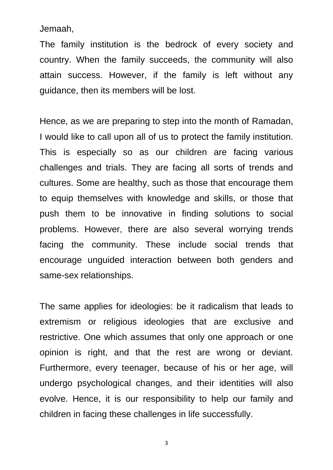Jemaah,

The family institution is the bedrock of every society and country. When the family succeeds, the community will also attain success. However, if the family is left without any guidance, then its members will be lost.

Hence, as we are preparing to step into the month of Ramadan, I would like to call upon all of us to protect the family institution. This is especially so as our children are facing various challenges and trials. They are facing all sorts of trends and cultures. Some are healthy, such as those that encourage them to equip themselves with knowledge and skills, or those that push them to be innovative in finding solutions to social problems. However, there are also several worrying trends facing the community. These include social trends that encourage unguided interaction between both genders and same-sex relationships.

The same applies for ideologies: be it radicalism that leads to extremism or religious ideologies that are exclusive and restrictive. One which assumes that only one approach or one opinion is right, and that the rest are wrong or deviant. Furthermore, every teenager, because of his or her age, will undergo psychological changes, and their identities will also evolve. Hence, it is our responsibility to help our family and children in facing these challenges in life successfully.

3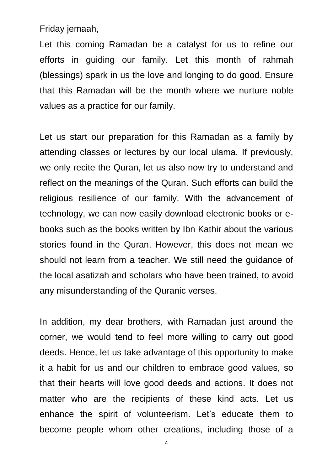Friday jemaah,

Let this coming Ramadan be a catalyst for us to refine our efforts in guiding our family. Let this month of rahmah (blessings) spark in us the love and longing to do good. Ensure that this Ramadan will be the month where we nurture noble values as a practice for our family.

Let us start our preparation for this Ramadan as a family by attending classes or lectures by our local ulama. If previously, we only recite the Quran, let us also now try to understand and reflect on the meanings of the Quran. Such efforts can build the religious resilience of our family. With the advancement of technology, we can now easily download electronic books or ebooks such as the books written by Ibn Kathir about the various stories found in the Quran. However, this does not mean we should not learn from a teacher. We still need the guidance of the local asatizah and scholars who have been trained, to avoid any misunderstanding of the Quranic verses.

In addition, my dear brothers, with Ramadan just around the corner, we would tend to feel more willing to carry out good deeds. Hence, let us take advantage of this opportunity to make it a habit for us and our children to embrace good values, so that their hearts will love good deeds and actions. It does not matter who are the recipients of these kind acts. Let us enhance the spirit of volunteerism. Let's educate them to become people whom other creations, including those of a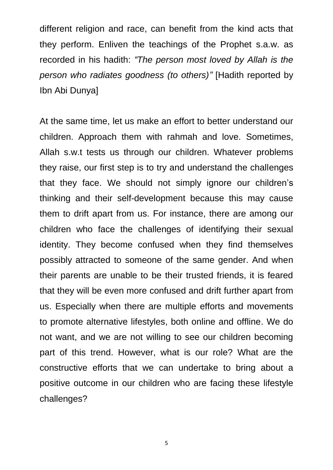different religion and race, can benefit from the kind acts that they perform. Enliven the teachings of the Prophet s.a.w. as recorded in his hadith: *"The person most loved by Allah is the person who radiates goodness (to others)"* [Hadith reported by Ibn Abi Dunya]

At the same time, let us make an effort to better understand our children. Approach them with rahmah and love. Sometimes, Allah s.w.t tests us through our children. Whatever problems they raise, our first step is to try and understand the challenges that they face. We should not simply ignore our children's thinking and their self-development because this may cause them to drift apart from us. For instance, there are among our children who face the challenges of identifying their sexual identity. They become confused when they find themselves possibly attracted to someone of the same gender. And when their parents are unable to be their trusted friends, it is feared that they will be even more confused and drift further apart from us. Especially when there are multiple efforts and movements to promote alternative lifestyles, both online and offline. We do not want, and we are not willing to see our children becoming part of this trend. However, what is our role? What are the constructive efforts that we can undertake to bring about a positive outcome in our children who are facing these lifestyle challenges?

5